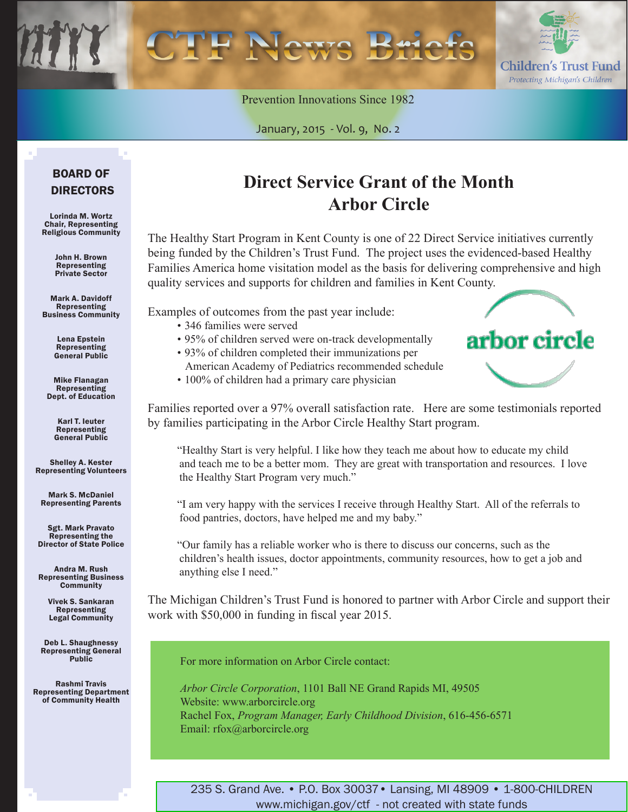Children's Trust Fund Protecting Michigan's Children

arbor circle

Prevention Innovations Since 1982

January, 2015 *-* Vol. 9, No. 2

### BOARD OF DIRECTORS

Lorinda M. Wortz Chair, Representing Religious Community

> John H. Brown Representing Private Sector

Mark A. Davidoff Representing Business Community

> Lena Epstein **Representing** General Public

Mike Flanagan Representing Dept. of Education

> Karl T. Ieuter Representing General Public

Shelley A. Kester Representing Volunteers

Mark S. McDaniel Representing Parents

Sgt. Mark Pravato Representing the Director of State Police

Andra M. Rush Representing Business **Community** 

> Vivek S. Sankaran Representing Legal Community

Deb L. Shaughnessy Representing General Public

Rashmi Travis Representing Department of Community Health

### **Direct Service Grant of the Month Arbor Circle**

The Healthy Start Program in Kent County is one of 22 Direct Service initiatives currently being funded by the Children's Trust Fund. The project uses the evidenced-based Healthy Families America home visitation model as the basis for delivering comprehensive and high quality services and supports for children and families in Kent County.

Examples of outcomes from the past year include:

- 346 families were served
- 95% of children served were on-track developmentally
- • 93% of children completed their immunizations per
- American Academy of Pediatrics recommended schedule • 100% of children had a primary care physician

Families reported over a 97% overall satisfaction rate. Here are some testimonials reported by families participating in the Arbor Circle Healthy Start program.

"Healthy Start is very helpful. I like how they teach me about how to educate my child and teach me to be a better mom. They are great with transportation and resources. I love the Healthy Start Program very much."

"I am very happy with the services I receive through Healthy Start. All of the referrals to food pantries, doctors, have helped me and my baby."

"Our family has a reliable worker who is there to discuss our concerns, such as the children's health issues, doctor appointments, community resources, how to get a job and anything else I need."

The Michigan Children's Trust Fund is honored to partner with Arbor Circle and support their work with \$50,000 in funding in fiscal year 2015.

For more information on Arbor Circle contact:

*Arbor Circle Corporation*, 1101 Ball NE Grand Rapids MI, 49505 Website: www.arborcircle.org Rachel Fox, *Program Manager, Early Childhood Division*, 616-456-6571 Email: rfox@arborcircle.org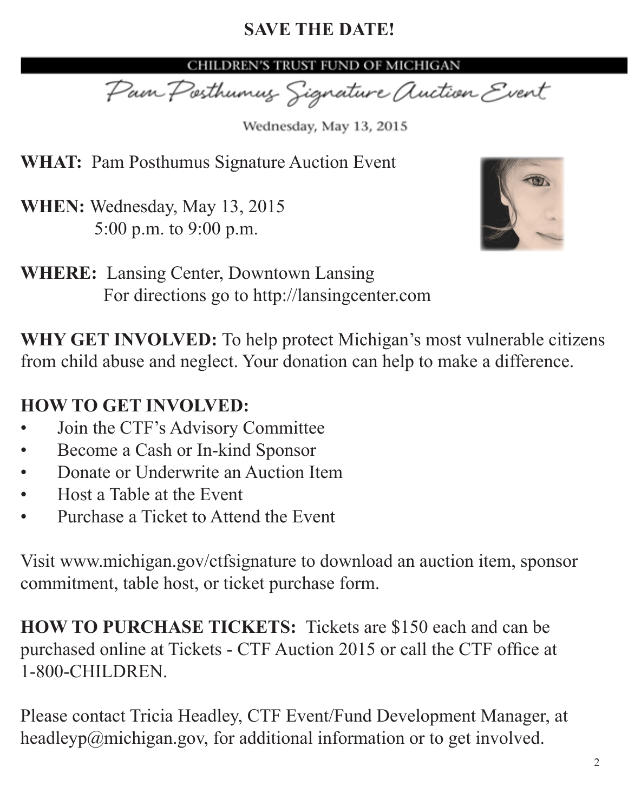# **SAVE THE DATE!**

### CHILDREN'S TRUST FUND OF MICHIGAN

Pain Posthumus Signature Auction Event

Wednesday, May 13, 2015

**WHAT:** Pam Posthumus Signature Auction Event

**WHEN:** Wednesday, May 13, 2015 5:00 p.m. to 9:00 p.m.



**WHERE:** Lansing Center, Downtown Lansing For directions go to http://lansingcenter.com

**WHY GET INVOLVED:** To help protect Michigan's most vulnerable citizens from child abuse and neglect. Your donation can help to make a difference.

# **HOW TO GET INVOLVED:**

- Join the CTF's Advisory Committee
- Become a Cash or In-kind Sponsor
- Donate or Underwrite an Auction Item
- Host a Table at the Event
- Purchase a Ticket to Attend the Event

Visit www.michigan.gov/ctfsignature to download an auction item, sponsor commitment, table host, or ticket purchase form.

**HOW TO PURCHASE TICKETS:** Tickets are \$150 each and can be purchased online at Tickets - CTF [Auction](www.tinyurl.com/ctfauction2015) 2015 or call the CTF office at 1-800-CHILDREN.

Please contact Tricia Headley, CTF Event/Fund Development Manager, at headleyp@michigan.gov, for additional information or to get involved.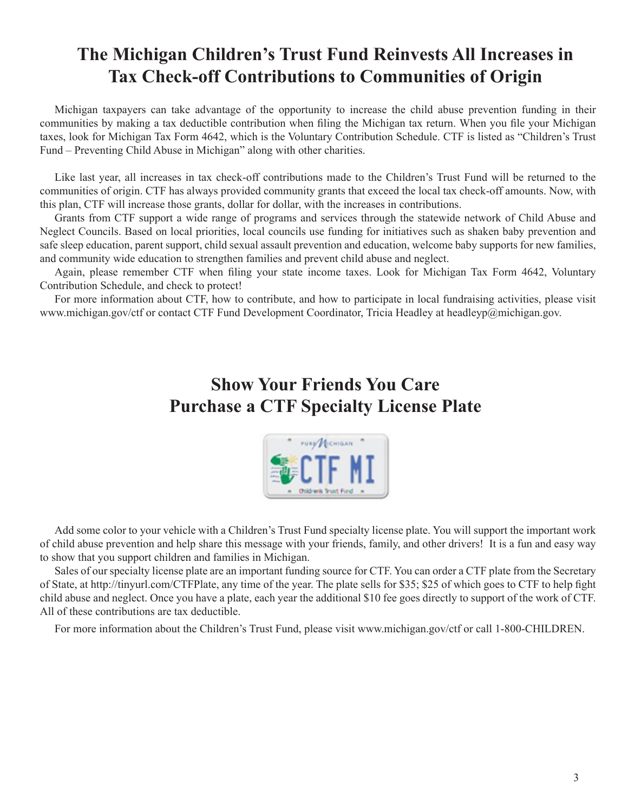## **The Michigan Children's Trust Fund Reinvests All Increases in Tax Check-off Contributions to Communities of Origin**

Michigan taxpayers can take advantage of the opportunity to increase the child abuse prevention funding in their communities by making a tax deductible contribution when filing the Michigan tax return. When you file your Michigan taxes, look for Michigan Tax Form 4642, which is the Voluntary Contribution Schedule. CTF is listed as "Children's Trust Fund – Preventing Child Abuse in Michigan" along with other charities.

Like last year, all increases in tax check-off contributions made to the Children's Trust Fund will be returned to the communities of origin. CTF has always provided community grants that exceed the local tax check-off amounts. Now, with this plan, CTF will increase those grants, dollar for dollar, with the increases in contributions.

Grants from CTF support a wide range of programs and services through the statewide network of Child Abuse and Neglect Councils. Based on local priorities, local councils use funding for initiatives such as shaken baby prevention and safe sleep education, parent support, child sexual assault prevention and education, welcome baby supports for new families, and community wide education to strengthen families and prevent child abuse and neglect.

Again, please remember CTF when filing your state income taxes. Look for Michigan Tax Form 4642, Voluntary Contribution Schedule, and check to protect!

For more information about CTF, how to contribute, and how to participate in local fundraising activities, please visit www.michigan.gov/ctf or contact CTF Fund Development Coordinator, Tricia Headley at headleyp@michigan.gov.

# **Show Your Friends You Care Purchase a CTF Specialty License Plate**



Add some color to your vehicle with a Children's Trust Fund specialty license plate. You will support the important work of child abuse prevention and help share this message with your friends, family, and other drivers! It is a fun and easy way to show that you support children and families in Michigan.

Sales of our specialty license plate are an important funding source for CTF. You can order a CTF plate from the Secretary of State, at http://tinyurl.com/CTFPlate, any time of the year. The plate sells for \$35; \$25 of which goes to CTF to help fight child abuse and neglect. Once you have a plate, each year the additional \$10 fee goes directly to support of the work of CTF. All of these contributions are tax deductible.

For more information about the Children's Trust Fund, please visit www.michigan.gov/ctf or call 1-800-CHILDREN.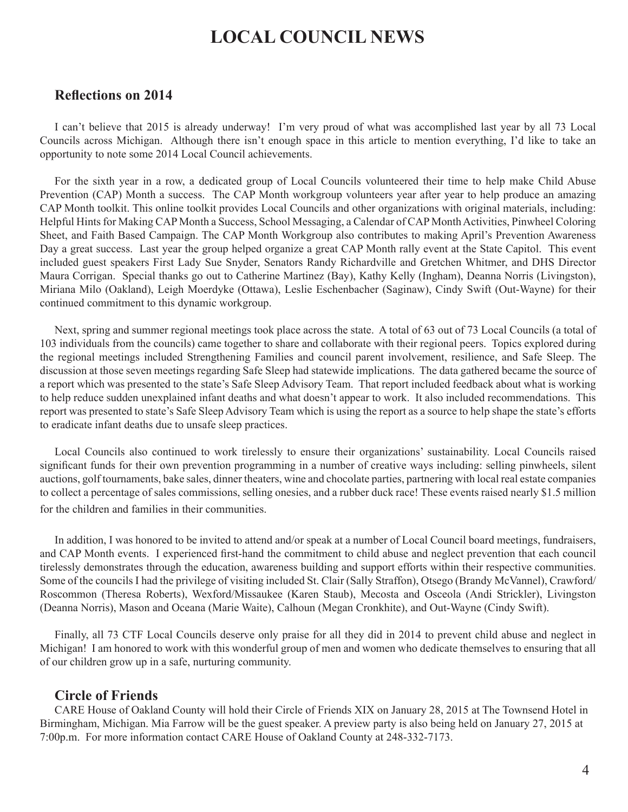### **LOCAL COUNCIL NEWS**

#### **Reflections on 2014**

I can't believe that 2015 is already underway! I'm very proud of what was accomplished last year by all 73 Local Councils across Michigan. Although there isn't enough space in this article to mention everything, I'd like to take an opportunity to note some 2014 Local Council achievements.

For the sixth year in a row, a dedicated group of Local Councils volunteered their time to help make Child Abuse Prevention (CAP) Month a success. The CAP Month workgroup volunteers year after year to help produce an amazing CAP Month toolkit. This online toolkit provides Local Councils and other organizations with original materials, including: Helpful Hints for Making CAP Month a Success, School Messaging, a Calendar of CAP Month Activities, Pinwheel Coloring Sheet, and Faith Based Campaign. The CAP Month Workgroup also contributes to making April's Prevention Awareness Day a great success. Last year the group helped organize a great CAP Month rally event at the State Capitol. This event included guest speakers First Lady Sue Snyder, Senators Randy Richardville and Gretchen Whitmer, and DHS Director Maura Corrigan. Special thanks go out to Catherine Martinez (Bay), Kathy Kelly (Ingham), Deanna Norris (Livingston), Miriana Milo (Oakland), Leigh Moerdyke (Ottawa), Leslie Eschenbacher (Saginaw), Cindy Swift (Out-Wayne) for their continued commitment to this dynamic workgroup.

Next, spring and summer regional meetings took place across the state. A total of 63 out of 73 Local Councils (a total of 103 individuals from the councils) came together to share and collaborate with their regional peers. Topics explored during the regional meetings included Strengthening Families and council parent involvement, resilience, and Safe Sleep. The discussion at those seven meetings regarding Safe Sleep had statewide implications. The data gathered became the source of a report which was presented to the state's Safe Sleep Advisory Team. That report included feedback about what is working to help reduce sudden unexplained infant deaths and what doesn't appear to work. It also included recommendations. This report was presented to state's Safe Sleep Advisory Team which is using the report as a source to help shape the state's efforts to eradicate infant deaths due to unsafe sleep practices.

Local Councils also continued to work tirelessly to ensure their organizations' sustainability. Local Councils raised significant funds for their own prevention programming in a number of creative ways including: selling pinwheels, silent auctions, golf tournaments, bake sales, dinner theaters, wine and chocolate parties, partnering with local real estate companies to collect a percentage of sales commissions, selling onesies, and a rubber duck race! These events raised nearly \$1.5 million for the children and families in their communities.

In addition, I was honored to be invited to attend and/or speak at a number of Local Council board meetings, fundraisers, and CAP Month events. I experienced first-hand the commitment to child abuse and neglect prevention that each council tirelessly demonstrates through the education, awareness building and support efforts within their respective communities. Some of the councils I had the privilege of visiting included St. Clair (Sally Straffon), Otsego (Brandy McVannel), Crawford/ Roscommon (Theresa Roberts), Wexford/Missaukee (Karen Staub), Mecosta and Osceola (Andi Strickler), Livingston (Deanna Norris), Mason and Oceana (Marie Waite), Calhoun (Megan Cronkhite), and Out-Wayne (Cindy Swift).

Finally, all 73 CTF Local Councils deserve only praise for all they did in 2014 to prevent child abuse and neglect in Michigan! I am honored to work with this wonderful group of men and women who dedicate themselves to ensuring that all of our children grow up in a safe, nurturing community.

### **Circle of Friends**

CARE House of Oakland County will hold their Circle of Friends XIX on January 28, 2015 at The Townsend Hotel in Birmingham, Michigan. Mia Farrow will be the guest speaker. A preview party is also being held on January 27, 2015 at 7:00p.m. For more information contact CARE House of Oakland County at 248-332-7173.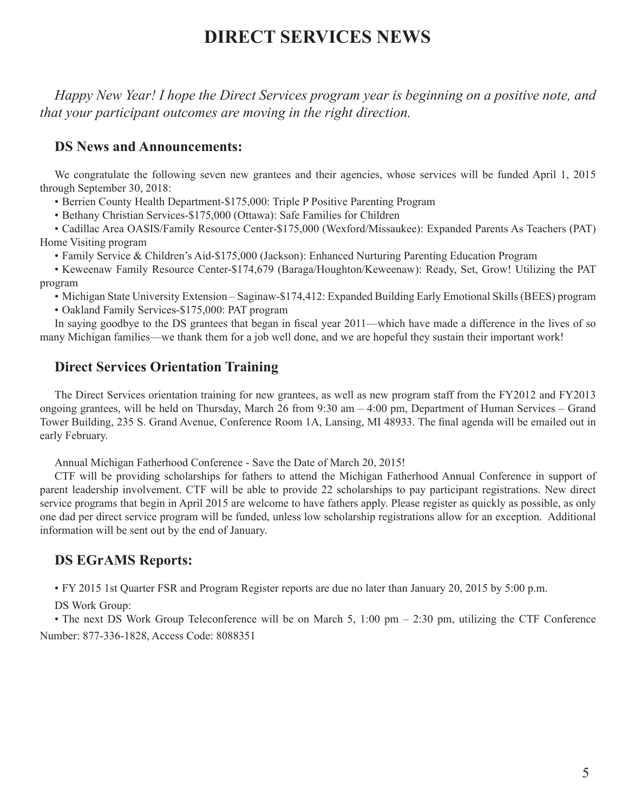### **DIRECT SERVICES NEWS**

*Happy New Year! I hope the Direct Services program year is beginning on a positive note, and that your participant outcomes are moving in the right direction.* 

### **DS News and Announcements:**

We congratulate the following seven new grantees and their agencies, whose services will be funded April 1, 2015 through September 30, 2018:

• Berrien County Health Department-\$175,000: Triple P Positive Parenting Program

• Bethany Christian Services-\$175,000 (Ottawa): Safe Families for Children

• Cadillac Area OASIS/Family Resource Center-\$175,000 (Wexford/Missaukee): Expanded Parents As Teachers (PAT) Home Visiting program

• Family Service & Children's Aid-\$175,000 (Jackson): Enhanced Nurturing Parenting Education Program

• Keweenaw Family Resource Center-\$174,679 (Baraga/Houghton/Keweenaw): Ready, Set, Grow! Utilizing the PAT program

• Michigan State University Extension – Saginaw-\$174,412: Expanded Building Early Emotional Skills (BEES) program

• Oakland Family Services-\$175,000: PAT program

In saying goodbye to the DS grantees that began in fiscal year 2011—which have made a difference in the lives of so many Michigan families—we thank them for a job well done, and we are hopeful they sustain their important work!

### **Direct Services Orientation Training**

The Direct Services orientation training for new grantees, as well as new program staff from the FY2012 and FY2013 ongoing grantees, will be held on Thursday, March 26 from 9:30 am – 4:00 pm, Department of Human Services – Grand Tower Building, 235 S. Grand Avenue, Conference Room 1A, Lansing, MI 48933. The final agenda will be emailed out in early February.

Annual Michigan Fatherhood Conference - Save the Date of March 20, 2015!

CTF will be providing scholarships for fathers to attend the Michigan Fatherhood Annual Conference in support of parent leadership involvement. CTF will be able to provide 22 scholarships to pay participant registrations. New direct service programs that begin in April 2015 are welcome to have fathers apply. Please register as quickly as possible, as only one dad per direct service program will be funded, unless low scholarship registrations allow for an exception. Additional information will be sent out by the end of January.

### **DS EGrAMS Reports:**

• FY 2015 1st Quarter FSR and Program Register reports are due no later than January 20, 2015 by 5:00 p.m.

DS Work Group:

• The next DS Work Group Teleconference will be on March 5, 1:00 pm  $-$  2:30 pm, utilizing the CTF Conference Number: 877-336-1828, Access Code: 8088351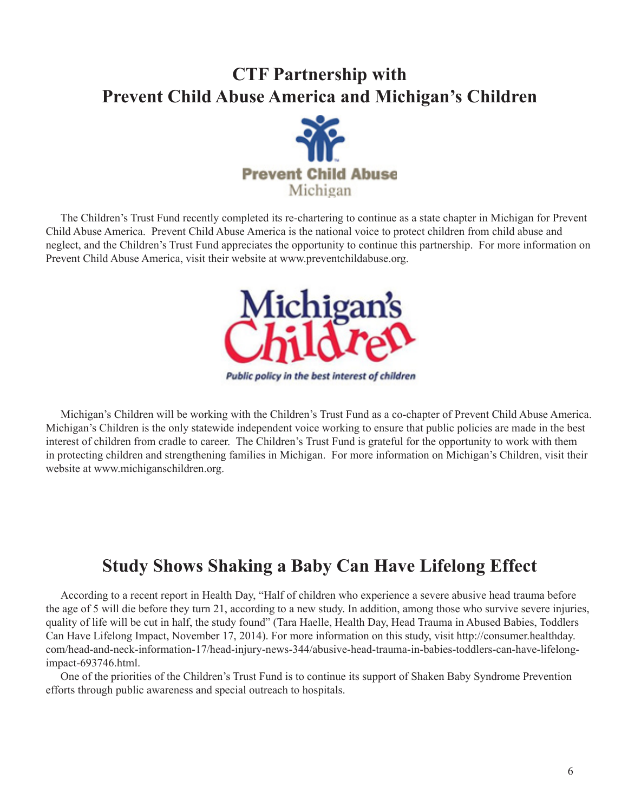# **CTF Partnership with Prevent Child Abuse America and Michigan's Children**



The Children's Trust Fund recently completed its re-chartering to continue as a state chapter in Michigan for Prevent Child Abuse America. Prevent Child Abuse America is the national voice to protect children from child abuse and neglect, and the Children's Trust Fund appreciates the opportunity to continue this partnership. For more information on Prevent Child Abuse America, visit their website at www.preventchildabuse.org.



Michigan's Children will be working with the Children's Trust Fund as a co-chapter of Prevent Child Abuse America. Michigan's Children is the only statewide independent voice working to ensure that public policies are made in the best interest of children from cradle to career. The Children's Trust Fund is grateful for the opportunity to work with them in protecting children and strengthening families in Michigan. For more information on Michigan's Children, visit their website at www.michiganschildren.org.

## **Study Shows Shaking a Baby Can Have Lifelong Effect**

According to a recent report in Health Day, "Half of children who experience a severe abusive head trauma before the age of 5 will die before they turn 21, according to a new study. In addition, among those who survive severe injuries, quality of life will be cut in half, the study found" (Tara Haelle, Health Day, Head Trauma in Abused Babies, Toddlers Can Have Lifelong Impact, November 17, 2014). For more information on this study, visit http://consumer.healthday. com/head-and-neck-information-17/head-injury-news-344/abusive-head-trauma-in-babies-toddlers-can-have-lifelongimpact-693746.html.

One of the priorities of the Children's Trust Fund is to continue its support of Shaken Baby Syndrome Prevention efforts through public awareness and special outreach to hospitals.